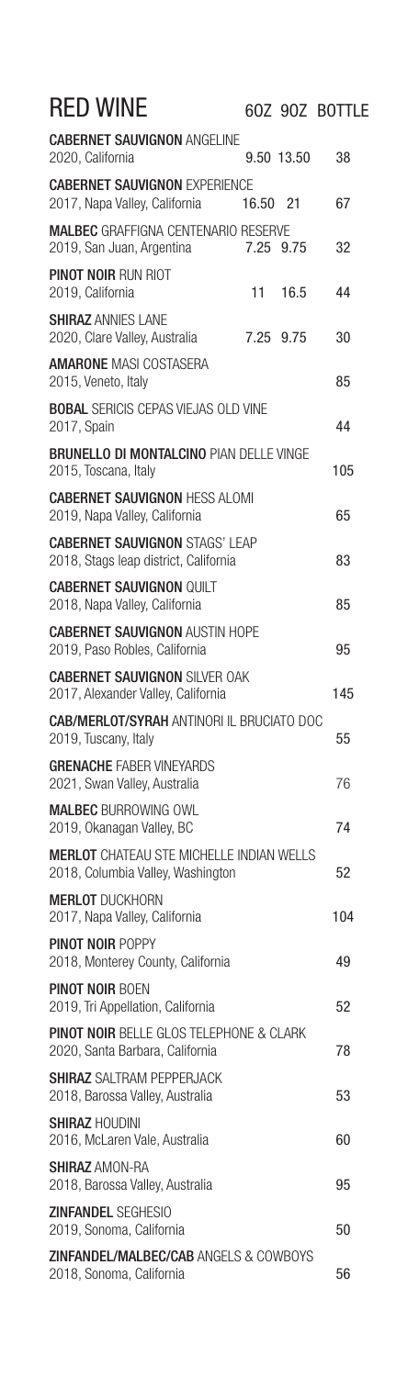| <b>RED WINE</b>                                                                       |           |            | 60Z 90Z BOTTLE |
|---------------------------------------------------------------------------------------|-----------|------------|----------------|
| <b>CABERNET SAUVIGNON ANGELINE</b><br>2020, California                                |           | 9.50 13.50 | 38             |
| <b>CABERNET SAUVIGNON EXPERIENCE</b><br>2017, Napa Valley, California                 | 16.50 21  |            | 67             |
| <b>MALBEC GRAFFIGNA CENTENARIO RESERVE</b><br>2019, San Juan, Argentina               |           | 7.25 9.75  | 32             |
| <b>PINOT NOIR RUN RIOT</b><br>2019, California                                        | 11        | 16.5       | 44             |
| <b>SHIRAZ ANNIES LANE</b><br>2020, Clare Valley, Australia                            | 7.25 9.75 |            | 30             |
| <b>AMARONE</b> MASI COSTASERA<br>2015, Veneto, Italy                                  |           |            | 85             |
| <b>BOBAL SERICIS CEPAS VIEJAS OLD VINE</b><br>2017, Spain                             |           |            | 44             |
| <b>BRUNELLO DI MONTALCINO PIAN DELLE VINGE</b><br>2015, Toscana, Italy                |           |            | 105            |
| <b>CABERNET SAUVIGNON HESS ALOMI</b><br>2019, Napa Valley, California                 |           |            | 65             |
| <b>CABERNET SAUVIGNON STAGS' LEAP</b><br>2018, Stags leap district, California        |           |            | 83             |
| <b>CABERNET SAUVIGNON QUILT</b><br>2018, Napa Valley, California                      |           |            | 85             |
| <b>CABERNET SAUVIGNON AUSTIN HOPE</b><br>2019, Paso Robles, California                |           |            | 95             |
| <b>CABERNET SAUVIGNON SILVER OAK</b><br>2017, Alexander Valley, California            |           |            | 145            |
| <b>CAB/MERLOT/SYRAH ANTINORI IL BRUCIATO DOC</b><br>2019, Tuscany, Italy              |           |            | 55             |
| <b>GRENACHE FABER VINEYARDS</b><br>2021, Swan Valley, Australia                       |           |            | 76             |
| <b>MALBEC BURROWING OWL</b><br>2019, Okanagan Valley, BC                              |           |            | 74             |
| <b>MERLOT</b> CHATEAU STE MICHELLE INDIAN WELLS<br>2018, Columbia Valley, Washington  |           |            | 52             |
| <b>MERLOT DUCKHORN</b><br>2017, Napa Valley, California                               |           |            | 104            |
| <b>PINOT NOIR POPPY</b><br>2018, Monterey County, California                          |           |            | 49             |
| <b>PINOT NOIR BOEN</b><br>2019, Tri Appellation, California                           |           |            | 52             |
| <b>PINOT NOIR BELLE GLOS TELEPHONE &amp; CLARK</b><br>2020, Santa Barbara, California |           |            | 78             |
| <b>SHIRAZ</b> SAI TRAM PFPPFRJACK<br>2018, Barossa Valley, Australia                  |           |            | 53             |
| <b>SHIRAZ HOUDINI</b><br>2016, McLaren Vale, Australia                                |           |            | 60             |
| <b>SHIRAZ AMON-RA</b><br>2018, Barossa Valley, Australia                              |           |            | 95             |
| <b>ZINFANDEL SEGHESIO</b><br>2019, Sonoma, California                                 |           |            | 50             |
| <b>ZINFANDEL/MALBEC/CAB ANGELS &amp; COWBOYS</b><br>2018, Sonoma, California          |           |            | 56             |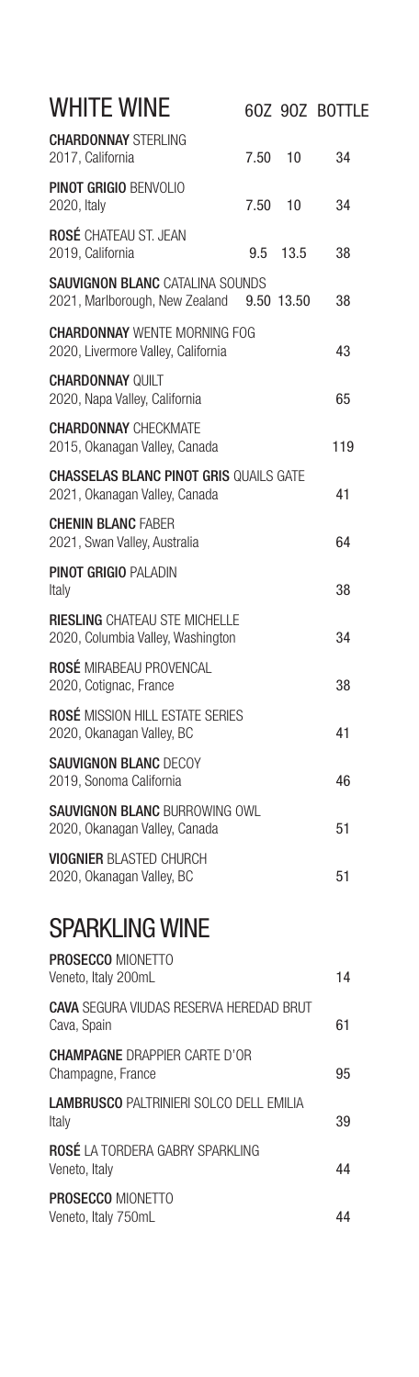| WHITE WINE                                                                     |         |            | 60Z 90Z BOTTLE |
|--------------------------------------------------------------------------------|---------|------------|----------------|
| <b>CHARDONNAY STERLING</b><br>2017, California                                 | 7.50 10 |            | 34             |
| <b>PINOT GRIGIO BENVOLIO</b><br>2020, Italy                                    | 7.50 10 |            | 34             |
| <b>ROSÉ CHATEAU ST. JEAN</b><br>2019, California                               |         | 9.5 13.5   | 38             |
| <b>SAUVIGNON BLANC CATALINA SOUNDS</b><br>2021, Marlborough, New Zealand       |         | 9.50 13.50 | 38             |
| <b>CHARDONNAY WENTE MORNING FOG</b><br>2020, Livermore Valley, California      |         |            | 43             |
| <b>CHARDONNAY QUILT</b><br>2020, Napa Valley, California                       |         |            | 65             |
| <b>CHARDONNAY CHECKMATE</b><br>2015, Okanagan Valley, Canada                   |         |            | 119            |
| <b>CHASSELAS BLANC PINOT GRIS QUAILS GATE</b><br>2021, Okanagan Valley, Canada |         |            | 41             |
| <b>CHENIN BLANC FABER</b><br>2021, Swan Valley, Australia                      |         |            | 64             |
| <b>PINOT GRIGIO PALADIN</b><br>Italy                                           |         |            | 38             |
| <b>RIESLING CHATEAU STE MICHELLE</b><br>2020, Columbia Valley, Washington      |         |            | 34             |
| <b>ROSÉ MIRABEAU PROVENCAL</b><br>2020, Cotignac, France                       |         |            | 38             |
| <b>ROSÉ MISSION HILL ESTATE SERIES</b><br>2020, Okanagan Valley, BC            |         |            | 41             |
| <b>SAUVIGNON BLANC DECOY</b><br>2019, Sonoma California                        |         |            | 46             |
| <b>SAUVIGNON BLANC BURROWING OWL</b><br>2020, Okanagan Valley, Canada          |         |            | 51             |
| <b>VIOGNIER BLASTED CHURCH</b><br>2020, Okanagan Valley, BC                    |         |            | 51             |
| <b>SPARKLING WINE</b>                                                          |         |            |                |
| <b>PROSECCO MIONETTO</b><br>Veneto, Italy 200mL                                |         |            | 14             |
| <b>CAVA SEGURA VIUDAS RESERVA HEREDAD BRUT</b><br>Cava, Spain                  |         |            | 61             |
| <b>CHAMPAGNE DRAPPIER CARTE D'OR</b><br>Champagne, France                      |         |            | 95             |
| <b>LAMBRUSCO PALTRINIERI SOLCO DELL EMILIA</b><br>Italy                        |         |            | 39             |
| <b>ROSÉ LA TORDERA GABRY SPARKLING</b><br>Veneto, Italy                        |         |            | 44             |
| PROSECCO MIONETTO<br>Veneto, Italy 750mL                                       |         |            | 44             |